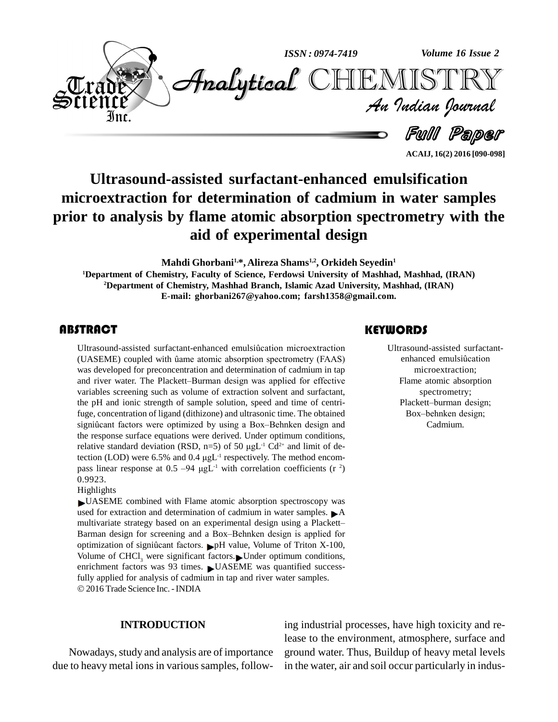

**ACAIJ, 16(2) 2016 [090-098]**

## **Ultrasound-assisted surfactant-enhanced emulsification microextraction for determination of cadmium in water samples prior to analysis by flame atomic absorption spectrometry with the aid of experimental design**

**Mahdi Ghorbani1,\*, Alireza Shams 1,2 , Orkideh Seyedin 1**

**<sup>1</sup>Department of Chemistry, Faculty of Science, Ferdowsi University of Mashhad, Mashhad, (IRAN) <sup>2</sup>Department of Chemistry, Mashhad Branch, Islamic Azad University, Mashhad, (IRAN) E-mail: [ghorbani267@yahoo.com;](mailto:ghorbani267@yahoo.com;) [farsh1358@gmail.com.](mailto:farsh1358@gmail.com.)**

Ultrasound-assisted surfactant-enhanced emulsiûcation microextraction (UASEME) coupled with ûame atomic absorption spectrometry (FAAS) was developed for preconcentration and determination of cadmium in tap RESTRACT<br>Ultrasound-assisted surfactant-enhanced emulsiûcation microextraction Ultrasound (UASEME) coupled with ûame atomic absorption spectrometry (FAAS) and river water. The Plackett-Burman design was applied for effective variables screening such as volume of extraction solvent and surfactant, the pH and ionic strength of sample solution, speed and time of centri-<br>fuge, concentration of ligand (dithizone) and ultrasonic time. The obtained<br>signiûcant factors were optimized by using a Box–Behnken design and fuge, concentration of ligand (dithizone) and ultrasonic time. The obtained the response surface equations were derived. Under optimum conditions, signiûcant factors were optimized by using a Box–Behnken design and<br>the response surface equations were derived. Under optimum conditions,<br>relative standard deviation (RSD,  $n=5$ ) of 50  $\mu g L^{-1} Cd^{2+}$  and limit of dethe response surface equations were derived. Uncelative standard deviation (RSD, n=5) of 50 µgl tection (LOD) were 6.5% and 0.4 µgL<sup>-1</sup> respective -1 respectively. The method encom relative standard deviation (RSD, n=5) of 50  $\mu$ g<br>tection (LOD) were 6.5% and 0.4  $\mu$ gL<sup>-1</sup> respectiv<br>pass linear response at 0.5 –94  $\mu$ gL<sup>-1</sup> with corn <sup>-1</sup> with correlation coefficients  $(r^2)$ 0.9923.

Highlights

 $\blacktriangleright$  UASEME combined with Flame atomic absorption spectroscopy was used for extraction and determination of cadmium in water samples.  $\blacktriangleright$  A multivariate strategy based on an experimental design using a Plackett used for extraction and determination of cadmium in water samples.  $\blacktriangleright$  A multivariate strategy based on an experimental design using a Plackett–Barman design for screening and a Box–Behnken design is applied for optimization of signiûcant factors.  $\blacktriangleright$  pH value, Volume of Triton X-100, Volume of CHCl<sub>3</sub> were significant factors. Under optimum conditions, enrichment factors was 93 times. UASEME was quantified successenrichment factors was 93 times. UASEME was quantified success-<br>fully applied for analysis of cadmium in tap and river water samples. 2016 Trade Science Inc.-INDIA

#### **INTRODUCTION**

Nowadays, study and analysis are of importance due to heavy metal ions in various samples, follow-

Ultrasound-assisted s<br>
enhanced emulsit<br>
microextraction Ultrasound-assisted surfactant- ALLETTER<br>
STRIP and assisted surfactant-<br>
enhanced emulsiûcation microextraction; Flame atomic absorption spectrometry; Flame atomic absorption<br>spectrometry;<br>Plackett–burman design; spectrometry;<br>lackett-burman design;<br>Box-behnken design; Cadmium.

ing industrial processes, have high toxicity and release to the environment, atmosphere, surface and ground water. Thus, Buildup of heavy metal levels in the water, air and soil occur particularly in indus-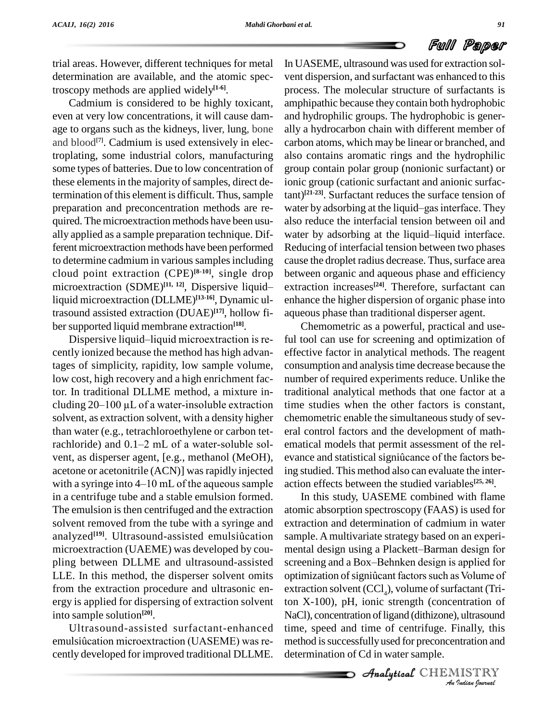trial areas. However, different techniques for metal determination are available, and the atomic spectroscopy methods are applied widely **[1-6]**.

Cadmium is considered to be highly toxicant, even at very low concentrations, it will cause dam age to organs such as the kidneys, liver, lung, bone and blood<sup>[7]</sup>. Cadmium is used extensively in elec- c troplating, some industrial colors, manufacturing some types of batteries. Due to low concentration of these elements in the majority of samples, direct determination of this element is difficult. Thus, sample preparation and preconcentration methods are re quired. The microextraction methods have been usu ally applied as a sample preparation technique. Different microextraction methods have been performed to determine cadmium in various samples including cloud point extraction (CPE) **[8-10]**, single drop to determine cadmium in various samples including cause t<br>cloud point extraction (CPE)<sup>[8-10]</sup>, single drop betwee<br>microextraction (SDME)<sup>[11, 12]</sup>, Dispersive liquid— extract liquid microextraction (DLLME) **[13-16]**, Dynamic ultrasound assisted extraction (DUAE)<sup>[17]</sup>, hollow fi-<br>ber supported liquid membrane extraction<sup>[18]</sup>. Che<br>Dispersive liquid–liquid microextraction is re- ful tool ber supported liquid membrane extraction<sup>[18]</sup>.

cently ionized because the method has high advantages of simplicity, rapidity, low sample volume, low cost, high recovery and a high enrichment fac-<br>tor. In traditional DLLME method, a mixture in-<br>cluding 20–100 µL of a water-insoluble extraction time s tor. In traditional DLLME method, a mixture in solvent, as extraction solvent, with a density higher than water (e.g., tetrachloroethylene or carbon tetsolvent, as extraction solvent, with a density higher che<br>than water (e.g., tetrachloroethylene or carbon tet-eral<br>rachloride) and 0.1–2 mL of a water-soluble sol-ema vent, as disperser agent, [e.g., methanol (MeOH), evance acetone or acetonitrile (ACN)] was rapidly injected ing st<br>with a syringe into 4–10 mL of the aqueous sample action acetone or acetonitrile (ACN)] was rapidly injected in a centrifuge tube and a stable emulsion formed. The emulsion is then centrifuged and the extraction solvent removed from the tube with a syringe and extract analyzed<sup>[19]</sup>. Ultrasound-assisted emulsiûcation **EXECUTE:** is then centrifuged and the extraction atomic<br>Exerce emoved from the tube with a syringe and extract<br><sup>[19]</sup>. Ultrasound-assisted emulsiûcation sample microextraction (UAEME) was developed by cou- mental design using a Plackett-Barman design for pling between DLLME and ultrasound-assisted LLE. In this method, the disperser solvent omits optimization of significant factors such as Volume of from the extraction procedure and ultrasonic en ergy is applied for dispersing of extraction solvent into sample solution **[20]**.

Ultrasound-assisted surfactant-enhanced emulsiûcation microextraction (UASEME) was recently developed for improved traditional DLLME.

In UASEME, ultrasound was used for extraction sol vent dispersion, and surfactant was enhanced to this process. The molecular structure of surfactants is amphipathic because they contain both hydrophobic and hydrophilic groups. The hydrophobic is gener ally a hydrocarbon chain with different member of carbon atoms, which may be linear or branched, and also contains aromatic rings and the hydrophilic group contain polar group (nonionic surfactant) or ionic group (cationic surfactant and anionic surfactant) **[21-23]**. Surfactant reduces the surface tension of ionic group (cationic surfactant and anionic surfac-<br>tant)<sup>[21-23]</sup>. Surfactant reduces the surface tension of<br>water by adsorbing at the liquid–gas interface. They also reduce the interfacial tension between oil and water by adsorbing at the liquid–gas interface. They<br>also reduce the interfacial tension between oil and<br>water by adsorbing at the liquid–liquid interface. Reducing of interfacial tension between two phases cause the droplet radius decrease. Thus, surface area between organic and aqueous phase and efficiency extraction increases **[24]**. Therefore, surfactant can enhance the higher dispersion of organic phase into aqueous phase than traditional disperser agent.

Chemometric as a powerful, practical and useful tool can use for screening and optimization of effective factor in analytical methods. The reagent consumption and analysistime decrease because the number of required experiments reduce. Unlike the traditional analytical methods that one factor at a time studies when the other factors is constant, chemometric enable the simultaneous study of sev eral control factors and the development of math-<br>ematical models that permit assessment of the rel-<br>evance and statistical signiûcance of the factors beematical models that permit assessment of the rel ing studied. This method also can evaluate the inter action effects between the studied variables **[25, 26]**.

*An*ton X-100), pH, ionic strength (concentration of *Indian*<br>*Inally, this*<br>*Indian* and<br>*IISTRY*<br>*Indian Iournal* NaCl), concentration of ligand (dithizone), ultrasound In this study, UASEME combined with flame atomic absorption spectroscopy (FAAS) is used for extraction and determination of cadmium in water sample. Amultivariate strategy based on an experi extraction and determination of cadmium in water<br>sample. A multivariate strategy based on an experi-<br>mental design using a Plackett–Barman design for sample. A multivariate strategy based on an experi-<br>mental design using a Plackett–Barman design for<br>screening and a Box–Behnken design is applied for mental design using a Plackett–Barman design for<br>screening and a Box–Behnken design is applied for<br>optimization of signiûcant factors such as Volume of extraction solvent  $(CCl_{\lambda})$ , volume of surfactant (Tritime, speed and time of centrifuge. Finally, this method is successfully used for preconcentration and determination of Cd in water sample.

CHEMISTRY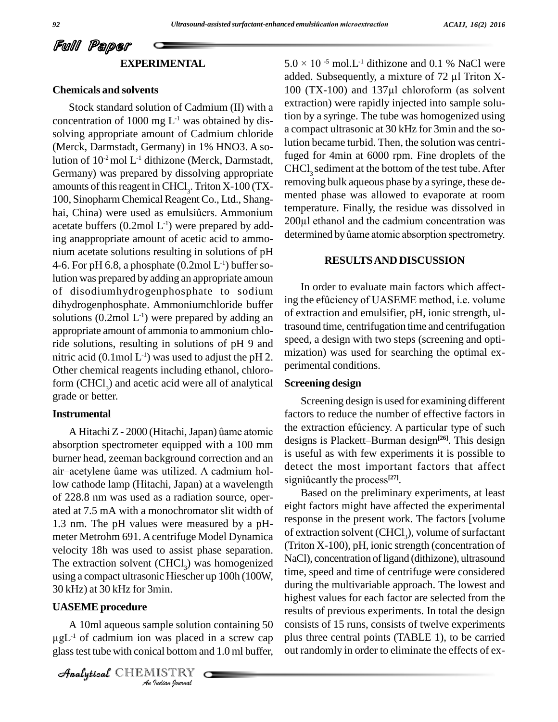### Full Paper **EXPERIMENTAL**

#### **Chemicals and solvents**

Stock standard solution of Cadmium (II) with a concentration of 1000 mg  $L^{-1}$  was obtained by dissolving appropriate amount of Cadmium chloride (Merck, Darmstadt, Germany) in 1% HNO3. A solution of 10<sup>-2</sup> mol L<sup>-1</sup> dithizone (Merck, Darmstadt,  $\frac{10}{2}$ Germany) was prepared by dissolving appropriate amounts of this reagent in CHCl<sub>3</sub>. Triton X-100 (TX-<br>100, Sinopharm Chemical Reagent Co., Ltd., Shang-<br>hai, China) were used as emulsiûers. Ammonium 100, Sinopharm Chemical Reagent Co., Ltd., Shangacetate buffers  $(0.2 \text{mol L}^{-1})$  were prepared by adding anappropriate amount of acetic acid to ammo nium acetate solutions resulting in solutions of pH 4-6. For pH 6.8, a phosphate  $(0.2 \text{mol L}^{-1})$  buffer solution was prepared by adding an appropriate amoun of disodiumhydrogenphosphate to sodium dihydrogenphosphate. Ammoniumchloride buffer solutions (0.2mol  $L^{-1}$ ) were prepared by adding an <sup>of extr</sup> appropriate amount of ammonia to ammonium chloride solutions, resulting in solutions of pH 9 and nitric acid (0.1mol  $L^{-1}$ ) was used to adjust the pH 2.  $\frac{m_{\text{H}}}{L}$ Other chemical reagents including ethanol, chloroform  $(CHCl<sub>2</sub>)$  and acetic acid were all of analytical grade or better.

#### **Instrumental**

A Hitachi Z - 2000 (Hitachi, Japan) ûame atomic absorption spectrometer equipped with a 100 mm<br>burner head, zeeman background correction and an<br>air—acetylene ûame was utilized. A cadmium holburner head, zeeman background correction and an low cathode lamp (Hitachi, Japan) at a wavelength of 228.8 nm was used as a radiation source, oper ated at 7.5 mA with a monochromator slit width of 1.3 nm. The pH values were measured by a pH meter Metrohm 691.Acentrifuge Model Dynamica velocity 18h was used to assist phase separation. The extraction solvent  $(CHCl<sub>3</sub>)$  was homogenized using a compact ultrasonic Hiescher up 100h (100W, 30 kHz) at 30 kHz for 3min.

### $UASEME$  procedure

*Inple solutio*<br> *Vas placed*<br> *ISTRY*<br> *Indian Dournal* A 10ml aqueous sample solution containing 50 <sup>-1</sup> of cadmium ion was placed in a screw cap plus th glass test tube with conical bottom and 1.0 ml buffer,

CHEMISTRY COMPANY

 $5.0 \times 10^{-5}$  mol.L<sup>-1</sup> dithizone and 0.1 % NaCl were added. Subsequently, <sup>a</sup> mixture of <sup>72</sup> µl Triton X- <sup>100</sup> (TX-100) and <sup>137</sup>µl chloroform (as solvent extraction) were rapidly injected into sample solution by a syringe. The tube was homogenized using a compact ultrasonic at 30 kHz for 3min and the solution became turbid. Then, the solution was centrifuged for 4min at 6000 rpm. Fine droplets of the CHCl<sub>2</sub> sediment at the bottom of the test tube. After removing bulk aqueous phase by a syringe, these de mented phase was allowed to evaporate at room<br>temperature. Finally, the residue was dissolved in<br>200µl ethanol and the cadmium concentration was temperature. Finally, the residue was dissolved in 200µl ethanol and the cadmium concentration was determined by ûame atomic absorption spectrometry.

#### **RESULTSAND DISCUSSION**

In order to evaluate main factors which affecting the efûciency of UASEME method, i.e. volume of extraction and emulsifier, pH, ionic strength, ultrasound time, centrifugation time and centrifugation speed, a design with two steps (screening and opti mization) was used for searching the optimal ex perimental conditions.

#### **Screening design**

Screening design is used for examining different factors to reduce the number of effective factors in the extraction efûciency. A particular type of such factors to reduce the number of effective factors in<br>the extraction efficiency. A particular type of such<br>designs is Plackett–Burman design<sup>[26]</sup>. This design is useful as with few experiments it is possible to<br>detect the most important factors that affect<br>significantly the process<sup>[27]</sup>. detect the most important factors that affect signiûcantly the process<sup>[27]</sup>.

Based on the preliminary experiments, at least eight factors might have affected the experimental response in the present work. The factors [volume of extraction solvent (CHCl<sub>2</sub>), volume of surfactant (Triton X-100), pH, ionic strength (concentration of NaCl), concentration of ligand (dithizone), ultrasound time, speed and time of centrifuge were considered during the multivariable approach. The lowest and highest values for each factor are selected from the results of previous experiments. In total the design consists of 15 runs, consists of twelve experiments plus three central points (TABLE 1), to be carried out randomly in order to eliminate the effects of ex-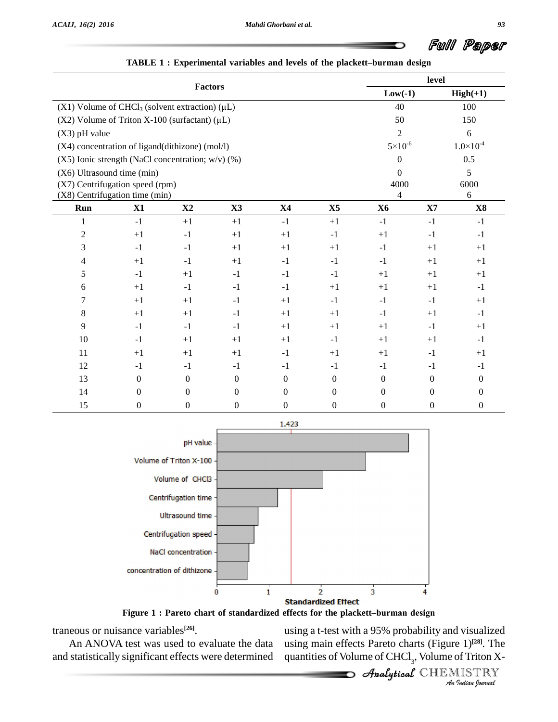|                                                                           | Fulll I |  |
|---------------------------------------------------------------------------|---------|--|
| TABLE 1 : Experimental variables and levels of the plackett-burman design |         |  |

| <b>Factors</b>                                                     |                  |                |                | level            |                    |                  |                    |                  |
|--------------------------------------------------------------------|------------------|----------------|----------------|------------------|--------------------|------------------|--------------------|------------------|
|                                                                    |                  |                |                |                  |                    | $Low(-1)$        |                    | $High(+1)$       |
| $(X1)$ Volume of CHCl <sub>3</sub> (solvent extraction) ( $\mu$ L) |                  |                |                |                  |                    | 40               |                    | 100              |
| $(X2)$ Volume of Triton X-100 (surfactant) ( $\mu$ L)              |                  |                |                |                  |                    | 50               |                    | 150              |
| $(X3)$ pH value                                                    |                  |                |                | 2                |                    | 6                |                    |                  |
| (X4) concentration of ligand(dithizone) (mol/l)                    |                  |                |                |                  | $5 \times 10^{-6}$ |                  | $1.0\times10^{-4}$ |                  |
| $(X5)$ Ionic strength (NaCl concentration; w/v) $(\%)$             |                  |                |                |                  | $\Omega$           |                  | 0.5                |                  |
| (X6) Ultrasound time (min)                                         |                  |                |                | $\Omega$         |                    | 5                |                    |                  |
| (X7) Centrifugation speed (rpm)                                    |                  |                |                |                  |                    | 4000             |                    | 6000             |
| (X8) Centrifugation time (min)                                     |                  |                |                |                  |                    | $\overline{4}$   |                    | 6                |
| Run                                                                | <b>X1</b>        | X2             | X3             | <b>X4</b>        | X5                 | <b>X6</b>        | $\mathbf{X}$       | X8               |
| 1                                                                  | $-1$             | $+1$           | $+1$           | $-1$             | $+1$               | $-1$             | $-1$               | $-1$             |
| 2                                                                  | $+1$             | $-1$           | $+1$           | $+1$             | $-1$               | $+1$             | $-1$               | $-1$             |
| 3                                                                  | $-1$             | $-1$           | $+1$           | $+1$             | $+1$               | $-1$             | $+1$               | $+1$             |
| 4                                                                  | $+1$             | $-1$           | $+1$           | $-1$             | $-1$               | $-1$             | $+1$               | $+1$             |
| 5                                                                  | $-1$             | $+1$           | $-1$           | $-1$             | $-1$               | $+1$             | $+1$               | $+1$             |
| 6                                                                  | $+1$             | $-1$           | $-1$           | $-1$             | $+1$               | $+1$             | $+1$               | $-1$             |
| 7                                                                  | $+1$             | $+1$           | $-1$           | $+1$             | $-1$               | $-1$             | $-1$               | $+1$             |
| 8                                                                  | $+1$             | $+1$           | $-1$           | $+1$             | $+1$               | $-1$             | $+1$               | $-1$             |
| 9                                                                  | $-1$             | $-1$           | $-1$           | $+1$             | $+1$               | $+1$             | $-1$               | $+1$             |
| 10                                                                 | $-1$             | $+1$           | $+1$           | $+1$             | $-1$               | $+1$             | $+1$               | $-1$             |
| 11                                                                 | $+1$             | $+1$           | $+1$           | $-1$             | $+1$               | $+1$             | $-1$               | $+1$             |
| 12                                                                 | $-1$             | $-1$           | $-1$           | $-1$             | $-1$               | $-1$             | $-1$               | $-1$             |
| 13                                                                 | $\boldsymbol{0}$ | $\overline{0}$ | $\theta$       | $\boldsymbol{0}$ | $\boldsymbol{0}$   | $\boldsymbol{0}$ | $\boldsymbol{0}$   | $\boldsymbol{0}$ |
| 14                                                                 | $\boldsymbol{0}$ | $\overline{0}$ | $\overline{0}$ | $\theta$         | $\overline{0}$     | $\overline{0}$   | $\overline{0}$     | $\boldsymbol{0}$ |
| 15                                                                 | $\mathbf{0}$     | $\overline{0}$ | $\theta$       | $\theta$         | $\mathbf{0}$       | $\mathbf{0}$     | $\overline{0}$     | $\boldsymbol{0}$ |



traneous or nuisance variables **[26]**.

An ANOVA test was used to evaluate the data and statistically significant effects were determined

*I* visualized<br> *2* 1)<sup>[28]</sup>. The<br>
of Triton X-<br>*IISTRY* using a t-test with a 95% probability and visualized using main effects Pareto charts (Figure 1) **[28]**. The quantities of Volume of  $\mathrm{CHCl}_3$ , Volume of Triton X-

CHEMISTRY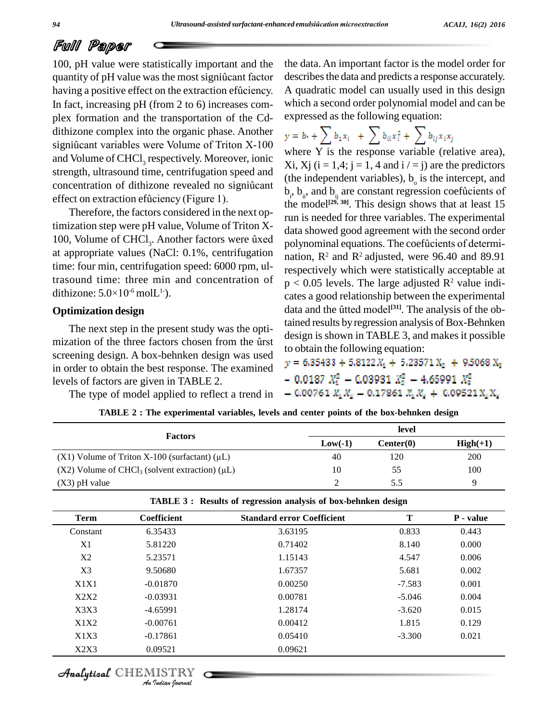100, pH value were statistically important and the the da  $\frac{100}{100}$ , pH value were statistically important and the the quantity of pH value was the most significant factor des 100, pH value were statistically important and the th<br>quantity of pH value was the most significant factor de<br>having a positive effect on the extraction efficiency. A In fact, increasing pH (from 2 to 6) increases com plex formation and the transportation of the Cddithizone complex into the organic phase. Another  $y = b_1 + \sum b_1 x_i + \sum b_{ii} x_i^2 + \sum b_{ij} x_i x_j$ signiûcant variables were Volume of Triton X-100 and Volume of CHCl<sub>3</sub> respectively. Moreover, ionic<br>strength, ultrasound time, centrifugation speed and<br>concentration of dithizone revealed no significant strength, ultrasound time, centrifugation speed and concentration of dithizone revealed no significant effect on extraction efficiency (Figure 1).

Therefore, the factors considered in the next op-<br>ization step were pH value, Volume of Triton X-<br>data sh<br>Nolume of CHCl<sub>3</sub>. Another factors were ûxed at appropriate values (NaCl: 0.1%, centrifugation time: four min, centrifugation speed: 6000 rpm, ul-<br>trasound time: three min and concentration of<br>dithizone: 5.0×10<sup>-6</sup> molL<sup>1-</sup>). trasound time: three min and concentration of  $-6$  mol $L^{1}$ ).

#### **Optimization design**

The next step in the present study was the opti mization of the three factors chosen from the ûrst screening design. A box-behnken design was used<br>in order to obtain the bost recognes. The examined  $y = 6.35433 + 5.8122X_1 + 5.23571X_2 + 9.5068X_3$ in order to obtain the best response. The examined<br>levels of factors are given in TABLE 2.  $-0.0187 \frac{x^2}{4} - 0.03931 \frac{x^2}{4} - 4.65991 \frac{x^2}{4}$ levels of factors are given in TABLE 2.

the data. An important factor is the model order for describes the data and predicts a response accurately. A quadratic model can usually used in this design which a second order polynomial model and can be expressed as the following equation:

timization step were pH value, Volume of Triton X-<br>100, Volume of CHCl<sub>3</sub>. Another factors were  $\hat{u}$ xed<br>polynominal equations. The coefficients of determiwhere Y is the response variable (relative area), Xi, Xj ( $i = 1,4$ ;  $j = 1,4$  and  $i = j$ ) are the predictors (the independent variables),  $b_0$  is the intercept, and  $b_i$ ,  $b_{ii}$ , and  $b_{ij}$  are constant regression coefûcients of the model **[29, 30]**. This design shows that at least 15 run is needed for three variables. The experimental data showed good agreement with the second order run is needed for three variables. The experimental<br>data showed good agreement with the second order<br>polynominal equations. The coefûcients of determination,  $R^2$  and  $R^2$  adjusted, were 96.40 and 89.91 respectively which were statistically acceptable at  $p < 0.05$  levels. The large adjusted  $R^2$  value indicates a good relationship between the experimental data and the ûtted model<sup>[31]</sup>. The analysis of the obcates a good relationship between the experimental data and the ûtted model<sup>[31]</sup>. The analysis of the obtained results byregression analysis of Box-Behnken design is shown in TABLE 3, and makes it possible to obtain the following equation:

The type of model applied to reflect a trend in  $-0.00761 X_1 X_2 - 0.17861 X_1 X_2 + 0.00521 X_2 X_3$ 

| <b>Factors</b>                                                   | level     |           |            |  |
|------------------------------------------------------------------|-----------|-----------|------------|--|
|                                                                  | $Low(-1)$ | Center(0) | $High(+1)$ |  |
| $(X1)$ Volume of Triton X-100 (surfactant) ( $\mu$ L)            | 40        | 120       | <b>200</b> |  |
| (X2) Volume of CHCl <sub>3</sub> (solvent extraction) ( $\mu$ L) | 10        | 55        | 100        |  |
| $(X3)$ pH value                                                  |           | 5.5       | Q          |  |

|  | TABLE 2 : The experimental variables, levels and center points of the box-behnken design |  |
|--|------------------------------------------------------------------------------------------|--|
|--|------------------------------------------------------------------------------------------|--|

| TABLE 3 : Results of regression analysis of box-behnken design |  |
|----------------------------------------------------------------|--|
|----------------------------------------------------------------|--|

| <b>Term</b>    | Coefficient | <b>Standard error Coefficient</b> | T        | P - value |
|----------------|-------------|-----------------------------------|----------|-----------|
| Constant       | 6.35433     | 3.63195                           | 0.833    | 0.443     |
| X1             | 5.81220     | 0.71402                           | 8.140    | 0.000     |
| X2             | 5.23571     | 1.15143                           | 4.547    | 0.006     |
| X <sub>3</sub> | 9.50680     | 1.67357                           | 5.681    | 0.002     |
| X1X1           | $-0.01870$  | 0.00250                           | $-7.583$ | 0.001     |
| X2X2           | $-0.03931$  | 0.00781                           | $-5.046$ | 0.004     |
| X3X3           | $-4.65991$  | 1.28174                           | $-3.620$ | 0.015     |
| X1X2           | $-0.00761$  | 0.00412                           | 1.815    | 0.129     |
| X1X3           | $-0.17861$  | 0.05410                           | $-3.300$ | 0.021     |
| X2X3           | 0.09521     | 0.09621                           |          |           |

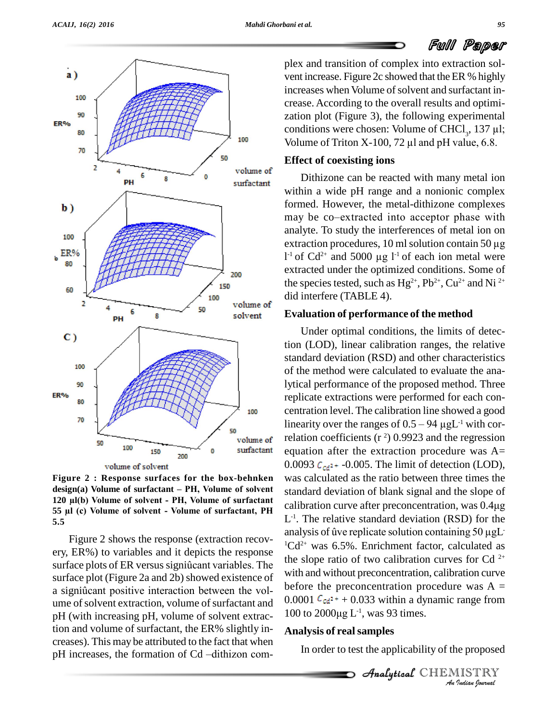



**Figure 2 : Response surfaces for the box-behnken colume of solvent**<br>**Figure 2 : Response surfaces for the box-behnken** wa<br>**design(a)** Volume of surfactant – PH, Volume of solvent **120 120 120 120 120 V V**<br>**120 µ**(b) **Volume of solvent - PH, Volume of solvent 120 µ**(b) **Volume of solvent - PH, Volume of surfactant <sup>55</sup> µl (c) Volume of solvent - Volume of surfactant, PH 5.5**

Figure 2 shows the response (extraction recov ery, ER%) to variables and it depicts the response Figure 2 shows the response (extraction recovery, ER%) to variables and it depicts the response surface plots of ER versus significant variables. The surface plot (Figure 2a and 2b) showed existence of surface plots of ER versus significant variables. The<br>surface plot (Figure 2a and 2b) showed existence of<br>a significant positive interaction between the volume of solvent extraction, volume of surfactant and pH (with increasing pH, volume of solvent extraction and volume of surfactant, the ER% slightly in-<br>creases). This may be attributed to the fact that when<br>pH increases, the formation of Cd –dithizon comcreases). This may be attributed to the fact that when

plex and transition of complex into extraction sol vent increase. Figure  $2c$  showed that the ER % highly increases when Volume of solvent and surfactant increase. According to the overall results and optimi zation plot (Figure 3), the following experimental crease. According to the overall results and optimization plot (Figure 3), the following experimental conditions were chosen: Volume of CHCl<sub>3</sub>, 137  $\mu$ l; zation plot (Figure 3), the following experimental<br>conditions were chosen: Volume of CHCl<sub>3</sub>, 137 µl;<br>Volume of Triton X-100, 72 µl and pH value, 6.8.

### **Effect of coexisting ions**

Dithizone can be reacted with many metal ion within a wide pH range and a nonionic complex<br>formed. However, the metal-dithizone complexes<br>may be co-extracted into acceptor phase with formed. However, the metal-dithizone complexes analyte. To study the interferences of metal ion on may be co-extracted into acceptor phase with<br>analyte. To study the interferences of metal ion on<br>extraction procedures, 10 ml solution contain 50  $\mu$ g analyte. To study the interferences of metal ion on<br>extraction procedures, 10 ml solution contain 50  $\mu$ g<br>l<sup>-1</sup> of Cd<sup>2+</sup> and 5000  $\mu$ g l<sup>-1</sup> of each ion metal were extracted under the optimized conditions. Some of the species tested, such as  $Hg^{2+}$ ,  $Pb^{2+}$ ,  $Cu^{2+}$  and Ni<sup>2+</sup> did interfere (TABLE 4).

### **Evaluation of performance of the method**

 $0.0001 \, \frac{C_{cd}^2 + 0.033}{4}$  within a dynamic range from *Indian Journal*  $t^{-1}$ , was 93 times. Under optimal conditions, the limits of detection (LOD), linear calibration ranges, the relative standard deviation (RSD) and other characteristics of the method were calculated to evaluate the analytical performance of the proposed method. Three replicate extractions were performed for each con centration level. The calibration line showed a good replicate extractions were performed for each concentration level. The calibration line showed a good<br>linearity over the ranges of  $0.5 - 94 \mu gL^{-1}$  with corlinearity over the ranges of  $0.5 - 94 \mu g L^{-1}$  with correlation coefficients (r <sup>2</sup>) 0.9923 and the regression equation after the extraction procedure was A= 0.0093  $C_{cd}$ <sup>2+</sup> -0.005. The limit of detection (LOD), was calculated as the ratio between three times the standard deviation of blank signal and the slope of was calculated as the ratio between three times the<br>standard deviation of blank signal and the slope of<br>calibration curve after preconcentration, was  $0.4\mu$ g L -1 . The relative standard deviation (RSD) for the calibration curve after preconcentration, was  $0.4 \mu$ g analysis of ûve replicate solution containing 50 µgL <sup>1</sup>Cd 2+ was 6.5%. Enrichment factor, calculated as the slope ratio of two calibration curves for Cd<sup>2+</sup> with and without preconcentration, calibration curve before the preconcentration procedure was  $A =$ before the preconcentratio<br>0.0001  $C_{cd}^{2+}$  + 0.033 within<br>100 to 2000µg L<sup>-1</sup>, was 93 ti

### **Analysis of realsamples**

In order to test the applicability of the proposed

**Analytical** CHEMISTRY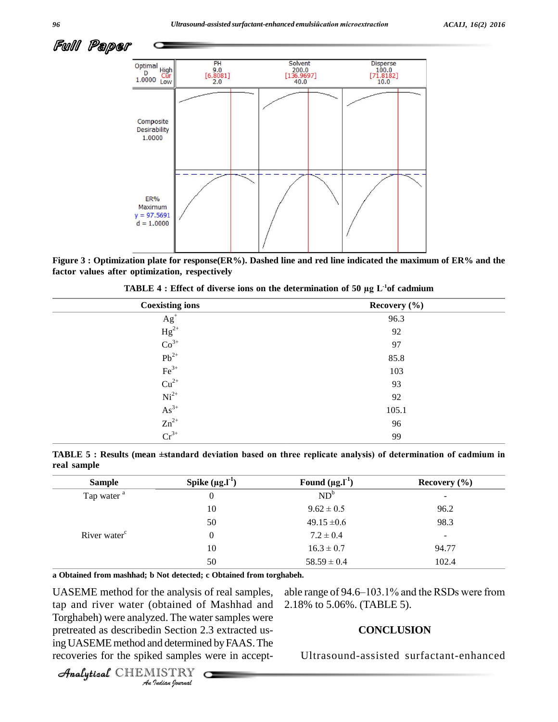

**TABLE 4 : Effect** of **diverse** ions on the determination of 50 µg L<sup>-1</sup>of cadmium<br>TABLE 4 **:** Effect of diverse ions on the determination of 50 µg L<sup>-1</sup>of cadmium Figure 3 : Optimization plate for response(ER%). Dashed line and red line indicated the maximum of ER% and the **factor values after optimization, respectively**

| <b>Coexisting ions</b>                                                                                           | Recovery $(\% )$ |  |
|------------------------------------------------------------------------------------------------------------------|------------------|--|
|                                                                                                                  | 96.3             |  |
| $Ag^{+}$<br>$Hg^{2+}$<br>$Co^{3+}$<br>$Pb^{2+}$<br>$Fe^{3+}$<br>$Cu^{2+}$<br>$Ni^{2+}$<br>$As^{3+}$<br>$Zn^{2+}$ | 92               |  |
|                                                                                                                  | 97               |  |
|                                                                                                                  | 85.8             |  |
|                                                                                                                  | 103              |  |
|                                                                                                                  | 93               |  |
|                                                                                                                  | 92               |  |
|                                                                                                                  | 105.1            |  |
|                                                                                                                  | 96               |  |

 $\frac{Cr^{3+}}{TRBLE 5:}$  Results (mean ±standard deviation based on three replicate analysis) of determination of cadmium in **real sample Sample Spike** ( $\mu$ g.l<sup>-1</sup>) <sup>1</sup><sub>1</sub><sup>1</sup><sub>2</sub> **Found** (**µg.l**<sup>1</sup>)<sup>2</sup>

 $3^{3+}$  99

| <b>Sample</b>            | Spike $(\mu g. l^{\mathsf{T}})$ | Found $(\mu g, l^{\mathsf{T}})$ | Recovery $(\% )$         |
|--------------------------|---------------------------------|---------------------------------|--------------------------|
| Tap water <sup>a</sup>   | 0                               | $ND^b$                          |                          |
|                          | 10                              | $9.62 \pm 0.5$                  | 96.2                     |
|                          | 50                              | $49.15 \pm 0.6$                 | 98.3                     |
| River water <sup>c</sup> | 0                               | $7.2 \pm 0.4$                   | $\overline{\phantom{0}}$ |
|                          | 10                              | $16.3 \pm 0.7$                  | 94.77                    |
|                          | 50                              | $58.59 \pm 0.4$                 | 102.4                    |

**a Obtained from mashhad; b Not detected; c Obtained from torghabeh.**

 $Cr^{3+}$ 

CHEMISTRY COMPANY

tap and river water (obtained of Mashhad and 2.18% *Indianed of*<br>*Indian Indiane*<br>*Indianel*<br>*IISTRY*  $\alpha$  and Tiver water (obtained of Masiliad and  $\alpha$  2.18%) UASEME method for the analysis of real samples, pretreated as describedin Section 2.3 extracted using UASEME method and determined by FAAS. The recoveries for the spiked samples were in accept-

able range of  $94.6-103.1\%$  and the RSDs were from 2.18% to 5.06%. (TABLE 5).

#### **CONCLUSION**

Ultrasound-assisted surfactant-enhanced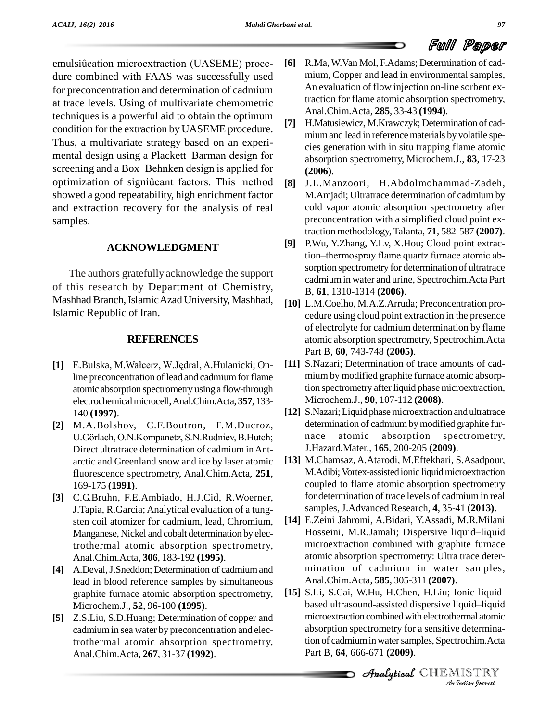emulsiûcation microextraction (UASEME) proce- [6] dure combined with FAAS was successfully used for preconcentration and determination of cadmium at trace levels. Using of multivariate chemometric techniques is a powerful aid to obtain the optimum<br>condition for the properties he IJA SEME are a days. [7] condition for the extraction by UASEME procedure. <sup>17</sup><br>Thus, a multivariate strategy based on an experi-<br>mental design using a Plackett–Barman design for Thus, a multivariate strategy based on an experi mental design using a Plackett–Barman design for screening and a Box–Behnken design is applied for optimization of signiûcant factors. This method [8] showed a good repeatability, high enrichment factor and extraction recovery for the analysis of real samples.

#### **ACKNOWLEDGMENT**

The authors gratefully acknowledge the support of this research by Department of Chemistry, Mashhad Branch, Islamic Azad University, Mashhad, Islamic Republic of Iran.

#### **REFERENCES**

- [1] E.Bulska, M.Wałcerz, W.Jędral, A.Hulanicki; Online preconcentration of lead and cadmium for flame atomic absorption spectrometry using a flow-through electrochemicalmicrocell,Anal.Chim.Acta, **357**,133- 140 **(1997)**.
- **[2]** M.A.Bolshov, C.F.Boutron, F.M.Ducroz, 140 (**1997**). [1]<br>M.A.Bolshov, C.F.Boutron, F.M.Ducroz,<br>U.Görlach, O.N.Kompanetz, S.N.Rudniev, B.Hutch; Direct ultratrace determination of cadmium inAnt arctic and Greenland snow andice by laser atomic fluorescence spectrometry, Anal.Chim.Acta, **251**, 169-175 **(1991)**.
- **[3]** C.G.Bruhn, F.E.Ambiado, H.J.Cid, R.Woerner, J.Tapia, R.Garcia; Analytical evaluation of a tung sten coil atomizer for cadmium, lead, Chromium, Manganese, Nickel and cobalt determination by electrothermal atomic absorption spectrometry, Anal.Chim.Acta, **306**, 183-192 **(1995)**.
- [4] A.Deval, J.Sneddon; Determination of cadmium and lead in blood reference samples by simultaneous graphite furnace atomic absorption spectrometry, Microchem.J., **52**, 96-100 **(1995)**.
- **[5]** Z.S.Liu, S.D.Huang; Determination of copper and cadmiumin sea water by preconcentration and electrothermal atomic absorption spectrometry, Anal.Chim.Acta, **267**, 31-37 **(1992)**.
- **[6]** R.Ma,W.Van Mol, F.Adams; Determination of cad mium, Copper and lead in environmental samples, An evaluation of flow injection on-line sorbent extraction for flame atomic absorption spectrometry, Anal.Chim.Acta, **285**, 33-43 **(1994)**.
- **[7]** H.Matusiewicz,M.Krawczyk; Determination of cad mium and lead in reference materials by volatile species generation with in situ trapping flame atomic absorption spectrometry, Microchem.J., **83**, 17-23 **(2006)**.
- **[8]** J.L.Manzoori, H.Abdolmohammad-Zadeh, M.Amjadi; Ultratrace determination of cadmiumby cold vapor atomic absorption spectrometry after preconcentration with a simplified cloud point extraction methodology,Talanta, **71**, 582-587 **(2007)**.
- **[9]** P.Wu, Y.Zhang, Y.Lv, X.Hou; Cloud point extraction-thermospray flame quartz furnace atomic absorption spectrometry for determination of ultratrace cadmiumin water and urine, Spectrochim.Acta Part B, **61**, 1310-1314 **(2006)**.
- **[10]** L.M.Coelho, M.A.Z.Arruda; Preconcentration pro cedure using cloud point extraction in the presence of electrolyte for cadmium determination by flame atomic absorption spectrometry, Spectrochim.Acta Part B, **60**, 743-748 **(2005)**.
- **[11]** S.Nazari; Determination of trace amounts of cad mium by modified graphite furnace atomic absorption spectrometry after liquid phasemicroextraction, Microchem.J., **90**, 107-112 **(2008)**.
- **[12]** S.Nazari;Liquid phasemicroextraction and ultratrace determination of cadmium by modified graphite furnace atomic absorption spectrometry, J.Hazard.Mater., **165**, 200-205 **(2009)**.
- **[13]** M.Chamsaz, A.Atarodi, M.Eftekhari, S.Asadpour, M.Adibi; Vortex-assisted ionic liquid microextraction coupled to flame atomic absorption spectrometry for determination of trace levels of cadmium in real samples, J.Advanced Research, **4**, 35-41 **(2013)**.
- **[14]** E.Zeini Jahromi, A.Bidari, Y.Assadi, M.R.Milani samples, J.Advanced Research, 4, 35-41 (2013).<br>E.Zeini Jahromi, A.Bidari, Y.Assadi, M.R.Milani<br>Hosseini, M.R.Jamali; Dispersive liquid–liquid microextraction combined with graphite furnace atomic absorption spectrometry: Ultra trace deter mination of cadmium in water samples, Anal.Chim.Acta, **585**, 305-311 **(2007)**.
- based ultrasound-assisted dispersive liquid-liquid 19411<br>*Indiana*<br>*P* determina<br>*IISTRY*<br>*IISTRY*<br>*Indian Iournal* based unrasound-assisted dispersive inquid-inquid-<br>microextraction combined with electrothermal atomic **[15]** S.Li, S.Cai, W.Hu, H.Chen, H.Liu; Ionic liquid- Anal.Chim.Acta, **585**, 305-311 (**2007**).<br>S.Li, S.Cai, W.Hu, H.Chen, H.Liu; Ionic liquid-<br>based ultrasound-assisted dispersive liquid–liquid absorption spectrometry for a sensitive determination of cadmium in water samples, Spectrochim.Acta Part B, **64**, 666-671 **(2009)**.

CHEMISTRY